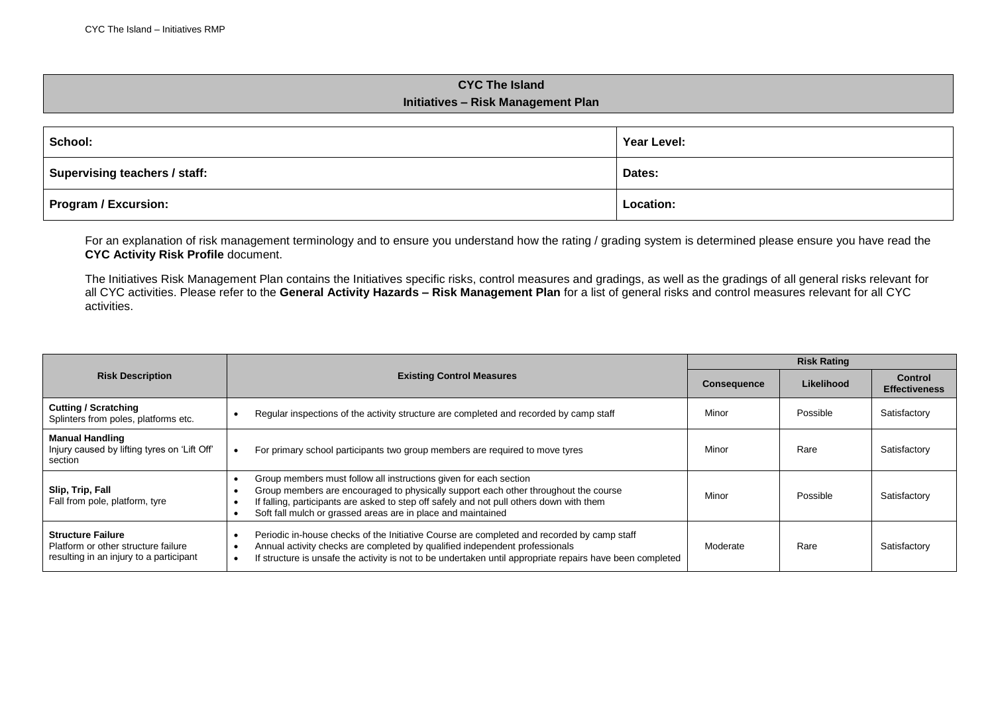## **CYC The Island Initiatives – Risk Management Plan**

| School:                       | Year Level: |  |
|-------------------------------|-------------|--|
| Supervising teachers / staff: | Dates:      |  |
| <b>Program / Excursion:</b>   | Location:   |  |

For an explanation of risk management terminology and to ensure you understand how the rating / grading system is determined please ensure you have read the **CYC Activity Risk Profile** document.

The Initiatives Risk Management Plan contains the Initiatives specific risks, control measures and gradings, as well as the gradings of all general risks relevant for all CYC activities. Please refer to the **General Activity Hazards – Risk Management Plan** for a list of general risks and control measures relevant for all CYC activities.

|                                                                                                            |                                                                                                                                                                                                                                                                                                                      | <b>Risk Rating</b> |            |                                        |
|------------------------------------------------------------------------------------------------------------|----------------------------------------------------------------------------------------------------------------------------------------------------------------------------------------------------------------------------------------------------------------------------------------------------------------------|--------------------|------------|----------------------------------------|
| <b>Risk Description</b>                                                                                    | <b>Existing Control Measures</b>                                                                                                                                                                                                                                                                                     | <b>Consequence</b> | Likelihood | <b>Control</b><br><b>Effectiveness</b> |
| <b>Cutting / Scratching</b><br>Splinters from poles, platforms etc.                                        | Regular inspections of the activity structure are completed and recorded by camp staff                                                                                                                                                                                                                               | Minor              | Possible   | Satisfactory                           |
| <b>Manual Handling</b><br>Injury caused by lifting tyres on 'Lift Off'<br>section                          | For primary school participants two group members are required to move tyres                                                                                                                                                                                                                                         | Minor              | Rare       | Satisfactory                           |
| Slip, Trip, Fall<br>Fall from pole, platform, tyre                                                         | Group members must follow all instructions given for each section<br>Group members are encouraged to physically support each other throughout the course<br>If falling, participants are asked to step off safely and not pull others down with them<br>Soft fall mulch or grassed areas are in place and maintained | Minor              | Possible   | Satisfactory                           |
| <b>Structure Failure</b><br>Platform or other structure failure<br>resulting in an injury to a participant | Periodic in-house checks of the Initiative Course are completed and recorded by camp staff<br>Annual activity checks are completed by qualified independent professionals<br>If structure is unsafe the activity is not to be undertaken until appropriate repairs have been completed                               | Moderate           | Rare       | Satisfactory                           |